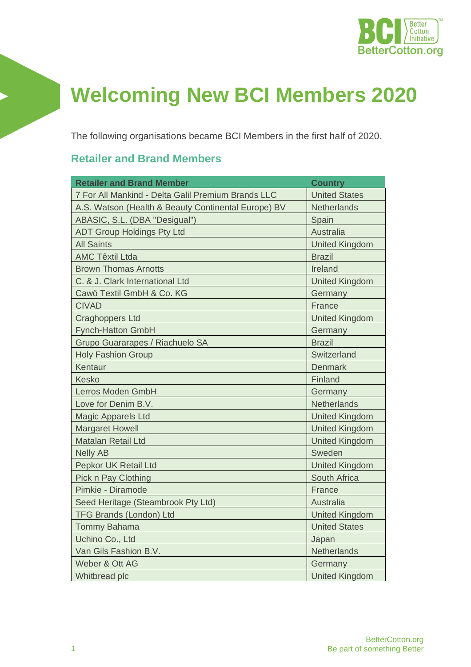

## **Welcoming New BCI Members 2020**

The following organisations became BCI Members in the first half of 2020.

## **Retailer and Brand Members**

| <b>Retailer and Brand Member</b>                    | <b>Country</b>        |  |
|-----------------------------------------------------|-----------------------|--|
| 7 For All Mankind - Delta Galil Premium Brands LLC  | <b>United States</b>  |  |
| A.S. Watson (Health & Beauty Continental Europe) BV | <b>Netherlands</b>    |  |
| ABASIC, S.L. (DBA "Desigual")                       | Spain                 |  |
| <b>ADT Group Holdings Pty Ltd</b>                   | <b>Australia</b>      |  |
| <b>All Saints</b>                                   | <b>United Kingdom</b> |  |
| <b>AMC Têxtil Ltda</b>                              | <b>Brazil</b>         |  |
| <b>Brown Thomas Arnotts</b>                         | Ireland               |  |
| C. & J. Clark International Ltd                     | <b>United Kingdom</b> |  |
| Cawö Textil GmbH & Co. KG                           | Germany               |  |
| <b>CIVAD</b>                                        | France                |  |
| <b>Craghoppers Ltd</b>                              | <b>United Kingdom</b> |  |
| <b>Fynch-Hatton GmbH</b>                            | Germany               |  |
| Grupo Guararapes / Riachuelo SA                     | <b>Brazil</b>         |  |
| <b>Holy Fashion Group</b>                           | Switzerland           |  |
| Kentaur                                             | <b>Denmark</b>        |  |
| <b>Kesko</b>                                        | Finland               |  |
| Lerros Moden GmbH                                   | Germany               |  |
| Love for Denim B.V.                                 | <b>Netherlands</b>    |  |
| <b>Magic Apparels Ltd</b>                           | <b>United Kingdom</b> |  |
| <b>Margaret Howell</b>                              | <b>United Kingdom</b> |  |
| <b>Matalan Retail Ltd</b>                           | <b>United Kingdom</b> |  |
| <b>Nelly AB</b>                                     | Sweden                |  |
| Pepkor UK Retail Ltd                                | <b>United Kingdom</b> |  |
| Pick n Pay Clothing                                 | South Africa          |  |
| Pimkie - Diramode                                   | France                |  |
| Seed Heritage (Steambrook Pty Ltd)                  | <b>Australia</b>      |  |
| <b>TFG Brands (London) Ltd</b>                      | <b>United Kingdom</b> |  |
| <b>Tommy Bahama</b>                                 | <b>United States</b>  |  |
| Uchino Co., Ltd                                     | Japan                 |  |
| Van Gils Fashion B.V.                               | <b>Netherlands</b>    |  |
| Weber & Ott AG                                      | Germany               |  |
| Whitbread plc                                       | <b>United Kingdom</b> |  |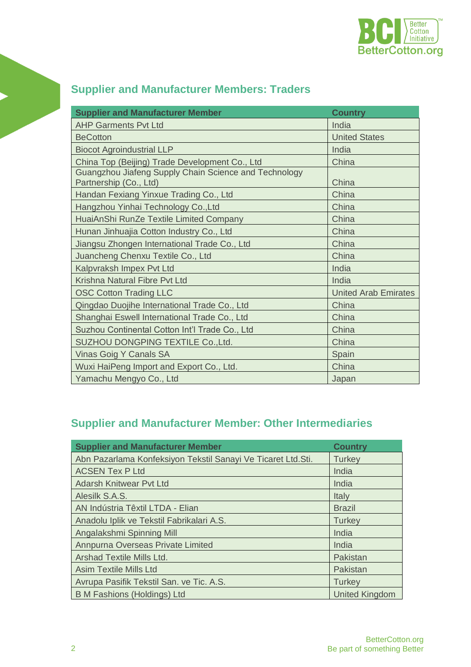

| <b>Supplier and Manufacturer Member</b>                                         | <b>Country</b>              |
|---------------------------------------------------------------------------------|-----------------------------|
| <b>AHP Garments Pvt Ltd</b>                                                     | India                       |
| <b>BeCotton</b>                                                                 | <b>United States</b>        |
| <b>Biocot Agroindustrial LLP</b>                                                | India                       |
| China Top (Beijing) Trade Development Co., Ltd                                  | China                       |
| Guangzhou Jiafeng Supply Chain Science and Technology<br>Partnership (Co., Ltd) | China                       |
| Handan Fexiang Yinxue Trading Co., Ltd                                          | China                       |
| Hangzhou Yinhai Technology Co., Ltd                                             | China                       |
| HuaiAnShi RunZe Textile Limited Company                                         | China                       |
| Hunan Jinhuajia Cotton Industry Co., Ltd                                        | China                       |
| Jiangsu Zhongen International Trade Co., Ltd                                    | China                       |
| Juancheng Chenxu Textile Co., Ltd                                               | China                       |
| Kalpvraksh Impex Pvt Ltd                                                        | India                       |
| Krishna Natural Fibre Pvt Ltd                                                   | India                       |
| <b>OSC Cotton Trading LLC</b>                                                   | <b>United Arab Emirates</b> |
| Qingdao Duojihe International Trade Co., Ltd                                    | China                       |
| Shanghai Eswell International Trade Co., Ltd                                    | China                       |
| Suzhou Continental Cotton Int'l Trade Co., Ltd                                  | China                       |
| SUZHOU DONGPING TEXTILE Co., Ltd.                                               | China                       |
| Vinas Goig Y Canals SA                                                          | Spain                       |
| Wuxi HaiPeng Import and Export Co., Ltd.                                        | China                       |
| Yamachu Mengyo Co., Ltd                                                         | Japan                       |

## **Supplier and Manufacturer Members: Traders**

## **Supplier and Manufacturer Member: Other Intermediaries**

| <b>Supplier and Manufacturer Member</b>                       | <b>Country</b>        |  |
|---------------------------------------------------------------|-----------------------|--|
| Abn Pazarlama Konfeksiyon Tekstil Sanayi Ve Ticaret Ltd. Sti. | <b>Turkey</b>         |  |
| <b>ACSEN Tex P Ltd</b>                                        | India                 |  |
| <b>Adarsh Knitwear Pvt Ltd</b>                                | India                 |  |
| Alesilk S.A.S.                                                | Italy                 |  |
| AN Indústria Têxtil LTDA - Elian                              | <b>Brazil</b>         |  |
| Anadolu Iplik ve Tekstil Fabrikalari A.S.                     | <b>Turkey</b>         |  |
| Angalakshmi Spinning Mill                                     | India                 |  |
| Annpurna Overseas Private Limited                             | India                 |  |
| Arshad Textile Mills Ltd.                                     | Pakistan              |  |
| <b>Asim Textile Mills Ltd</b>                                 | Pakistan              |  |
| Avrupa Pasifik Tekstil San. ve Tic. A.S.                      | <b>Turkey</b>         |  |
| <b>B M Fashions (Holdings) Ltd</b>                            | <b>United Kingdom</b> |  |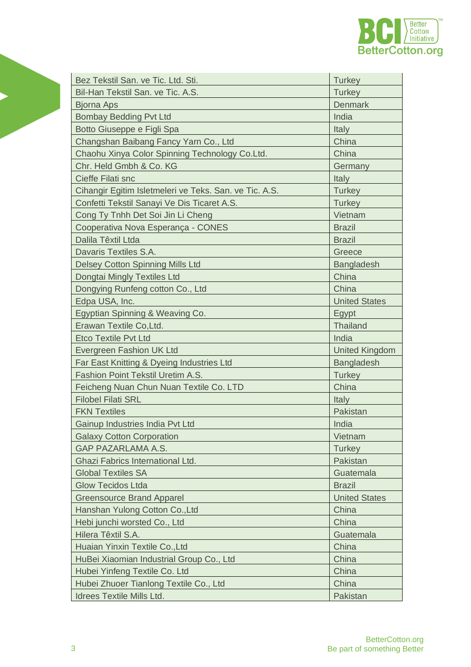

| Bez Tekstil San. ve Tic. Ltd. Sti.                     | <b>Turkey</b>         |  |
|--------------------------------------------------------|-----------------------|--|
| Bil-Han Tekstil San. ve Tic. A.S.                      | <b>Turkey</b>         |  |
| <b>Bjorna Aps</b>                                      | <b>Denmark</b>        |  |
| <b>Bombay Bedding Pvt Ltd</b>                          | India                 |  |
| Botto Giuseppe e Figli Spa                             | <b>Italy</b>          |  |
| Changshan Baibang Fancy Yarn Co., Ltd                  | China                 |  |
| Chaohu Xinya Color Spinning Technology Co.Ltd.         | China                 |  |
| Chr. Held Gmbh & Co. KG                                | Germany               |  |
| Cieffe Filati snc                                      | Italy                 |  |
| Cihangir Egitim Isletmeleri ve Teks. San. ve Tic. A.S. | <b>Turkey</b>         |  |
| Confetti Tekstil Sanayi Ve Dis Ticaret A.S.            | <b>Turkey</b>         |  |
| Cong Ty Tnhh Det Soi Jin Li Cheng                      | Vietnam               |  |
| Cooperativa Nova Esperança - CONES                     | <b>Brazil</b>         |  |
| Dalila Têxtil Ltda                                     | <b>Brazil</b>         |  |
| Davaris Textiles S.A.                                  | Greece                |  |
| Delsey Cotton Spinning Mills Ltd                       | <b>Bangladesh</b>     |  |
| Dongtai Mingly Textiles Ltd                            | China                 |  |
| Dongying Runfeng cotton Co., Ltd                       | China                 |  |
| Edpa USA, Inc.                                         | <b>United States</b>  |  |
| Egyptian Spinning & Weaving Co.                        | Egypt                 |  |
| Erawan Textile Co, Ltd.                                | <b>Thailand</b>       |  |
| <b>Etco Textile Pvt Ltd</b>                            | India                 |  |
| Evergreen Fashion UK Ltd                               | <b>United Kingdom</b> |  |
| Far East Knitting & Dyeing Industries Ltd              | <b>Bangladesh</b>     |  |
| <b>Fashion Point Tekstil Uretim A.S.</b>               | <b>Turkey</b>         |  |
| Feicheng Nuan Chun Nuan Textile Co. LTD                | China                 |  |
| <b>Filobel Filati SRL</b>                              | <b>Italy</b>          |  |
| <b>FKN Textiles</b>                                    | Pakistan              |  |
| Gainup Industries India Pvt Ltd                        | India                 |  |
| <b>Galaxy Cotton Corporation</b>                       | Vietnam               |  |
| <b>GAP PAZARLAMA A.S.</b>                              | <b>Turkey</b>         |  |
| Ghazi Fabrics International Ltd.                       | Pakistan              |  |
| <b>Global Textiles SA</b>                              | Guatemala             |  |
| <b>Glow Tecidos Ltda</b>                               | <b>Brazil</b>         |  |
| <b>Greensource Brand Apparel</b>                       | <b>United States</b>  |  |
| Hanshan Yulong Cotton Co., Ltd                         | China                 |  |
| Hebi junchi worsted Co., Ltd                           | China                 |  |
| Hilera Têxtil S.A.                                     | Guatemala             |  |
| Huaian Yinxin Textile Co., Ltd                         | China                 |  |
| HuBei Xiaomian Industrial Group Co., Ltd               | China                 |  |
| Hubei Yinfeng Textile Co. Ltd                          | China                 |  |
| Hubei Zhuoer Tianlong Textile Co., Ltd                 | China                 |  |
| <b>Idrees Textile Mills Ltd.</b>                       | Pakistan              |  |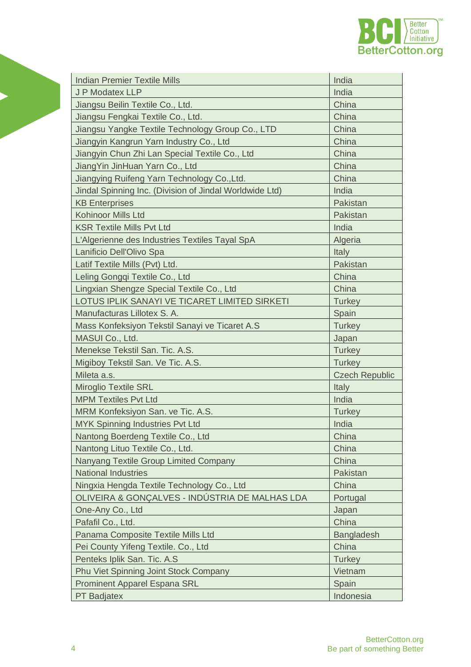

| <b>Indian Premier Textile Mills</b>                     | India                                              |  |
|---------------------------------------------------------|----------------------------------------------------|--|
| J P Modatex LLP                                         | India                                              |  |
| Jiangsu Beilin Textile Co., Ltd.                        | China<br>China<br>China<br>China<br>China<br>China |  |
| Jiangsu Fengkai Textile Co., Ltd.                       |                                                    |  |
| Jiangsu Yangke Textile Technology Group Co., LTD        |                                                    |  |
| Jiangyin Kangrun Yarn Industry Co., Ltd                 |                                                    |  |
| Jiangyin Chun Zhi Lan Special Textile Co., Ltd          |                                                    |  |
| JiangYin JinHuan Yarn Co., Ltd                          |                                                    |  |
| Jiangying Ruifeng Yarn Technology Co., Ltd.             | China                                              |  |
| Jindal Spinning Inc. (Division of Jindal Worldwide Ltd) | India                                              |  |
| <b>KB Enterprises</b>                                   | Pakistan                                           |  |
| <b>Kohinoor Mills Ltd</b>                               | Pakistan                                           |  |
| <b>KSR Textile Mills Pvt Ltd</b>                        | India                                              |  |
| L'Algerienne des Industries Textiles Tayal SpA          | Algeria                                            |  |
| Lanificio Dell'Olivo Spa                                | <b>Italy</b>                                       |  |
| Latif Textile Mills (Pvt) Ltd.                          | Pakistan                                           |  |
| Leling Gongqi Textile Co., Ltd                          | China                                              |  |
| Lingxian Shengze Special Textile Co., Ltd               | China                                              |  |
| LOTUS IPLIK SANAYI VE TICARET LIMITED SIRKETI           | <b>Turkey</b>                                      |  |
| Manufacturas Lillotex S. A.                             | Spain                                              |  |
| Mass Konfeksiyon Tekstil Sanayi ve Ticaret A.S          | <b>Turkey</b>                                      |  |
| MASUI Co., Ltd.                                         | Japan                                              |  |
| Menekse Tekstil San. Tic. A.S.                          | <b>Turkey</b>                                      |  |
| Migiboy Tekstil San. Ve Tic. A.S.                       | <b>Turkey</b>                                      |  |
| Mileta a.s.                                             | <b>Czech Republic</b>                              |  |
| <b>Miroglio Textile SRL</b>                             | Italy                                              |  |
| <b>MPM Textiles Pvt Ltd</b>                             | India                                              |  |
| MRM Konfeksiyon San. ve Tic. A.S.                       | <b>Turkey</b>                                      |  |
| <b>MYK Spinning Industries Pvt Ltd</b>                  | India                                              |  |
| Nantong Boerdeng Textile Co., Ltd                       | China                                              |  |
| Nantong Lituo Textile Co., Ltd.                         | China                                              |  |
| Nanyang Textile Group Limited Company                   | China                                              |  |
| <b>National Industries</b>                              | Pakistan                                           |  |
| Ningxia Hengda Textile Technology Co., Ltd              | China                                              |  |
| OLIVEIRA & GONÇALVES - INDÚSTRIA DE MALHAS LDA          | Portugal                                           |  |
| One-Any Co., Ltd                                        | Japan                                              |  |
| Pafafil Co., Ltd.                                       | China                                              |  |
| Panama Composite Textile Mills Ltd                      | <b>Bangladesh</b>                                  |  |
| Pei County Yifeng Textile. Co., Ltd                     | China                                              |  |
| Penteks Iplik San. Tic. A.S                             | <b>Turkey</b>                                      |  |
| Phu Viet Spinning Joint Stock Company                   | Vietnam                                            |  |
| <b>Prominent Apparel Espana SRL</b>                     | Spain                                              |  |
| <b>PT Badjatex</b>                                      | Indonesia                                          |  |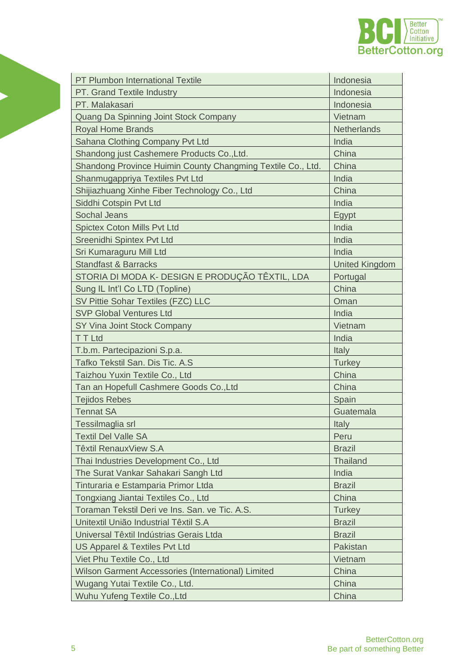

| <b>PT Plumbon International Textile</b>                     | Indonesia             |  |
|-------------------------------------------------------------|-----------------------|--|
| PT. Grand Textile Industry                                  | Indonesia             |  |
| PT. Malakasari                                              | Indonesia             |  |
| Quang Da Spinning Joint Stock Company                       | Vietnam               |  |
| <b>Royal Home Brands</b>                                    | <b>Netherlands</b>    |  |
| Sahana Clothing Company Pvt Ltd                             | India                 |  |
| Shandong just Cashemere Products Co., Ltd.                  | China                 |  |
| Shandong Province Huimin County Changming Textile Co., Ltd. | China                 |  |
| Shanmugappriya Textiles Pvt Ltd                             | India                 |  |
| Shijiazhuang Xinhe Fiber Technology Co., Ltd                | China                 |  |
| Siddhi Cotspin Pvt Ltd                                      | India                 |  |
| <b>Sochal Jeans</b>                                         | Egypt                 |  |
| <b>Spictex Coton Mills Pvt Ltd</b>                          | India                 |  |
| Sreenidhi Spintex Pvt Ltd                                   | India                 |  |
| Sri Kumaraguru Mill Ltd                                     | India                 |  |
| <b>Standfast &amp; Barracks</b>                             | <b>United Kingdom</b> |  |
| STORIA DI MODA K- DESIGN E PRODUÇÃO TÊXTIL, LDA             | Portugal              |  |
| Sung IL Int'l Co LTD (Topline)                              | China                 |  |
| SV Pittie Sohar Textiles (FZC) LLC                          | Oman                  |  |
| <b>SVP Global Ventures Ltd</b>                              | India                 |  |
| SY Vina Joint Stock Company                                 | Vietnam               |  |
| <b>TTLtd</b>                                                | India                 |  |
| T.b.m. Partecipazioni S.p.a.                                | Italy                 |  |
| Tafko Tekstil San. Dis Tic. A.S                             | <b>Turkey</b>         |  |
| Taizhou Yuxin Textile Co., Ltd                              | China                 |  |
| Tan an Hopefull Cashmere Goods Co., Ltd                     | China                 |  |
| <b>Tejidos Rebes</b>                                        | Spain                 |  |
| <b>Tennat SA</b>                                            | Guatemala             |  |
| Tessilmaglia srl                                            | Italy                 |  |
| <b>Textil Del Valle SA</b>                                  | Peru                  |  |
| Têxtil RenauxView S.A                                       | <b>Brazil</b>         |  |
| Thai Industries Development Co., Ltd                        | <b>Thailand</b>       |  |
| The Surat Vankar Sahakari Sangh Ltd                         | India                 |  |
| Tinturaria e Estamparia Primor Ltda                         | <b>Brazil</b>         |  |
| Tongxiang Jiantai Textiles Co., Ltd                         | China                 |  |
| Toraman Tekstil Deri ve Ins. San. ve Tic. A.S.              | <b>Turkey</b>         |  |
| Unitextil União Industrial Têxtil S.A                       | <b>Brazil</b>         |  |
| Universal Têxtil Indústrias Gerais Ltda                     | <b>Brazil</b>         |  |
| US Apparel & Textiles Pvt Ltd                               | Pakistan              |  |
| Viet Phu Textile Co., Ltd                                   | Vietnam               |  |
| Wilson Garment Accessories (International) Limited          | China                 |  |
| Wugang Yutai Textile Co., Ltd.                              | China                 |  |
| Wuhu Yufeng Textile Co., Ltd                                | China                 |  |